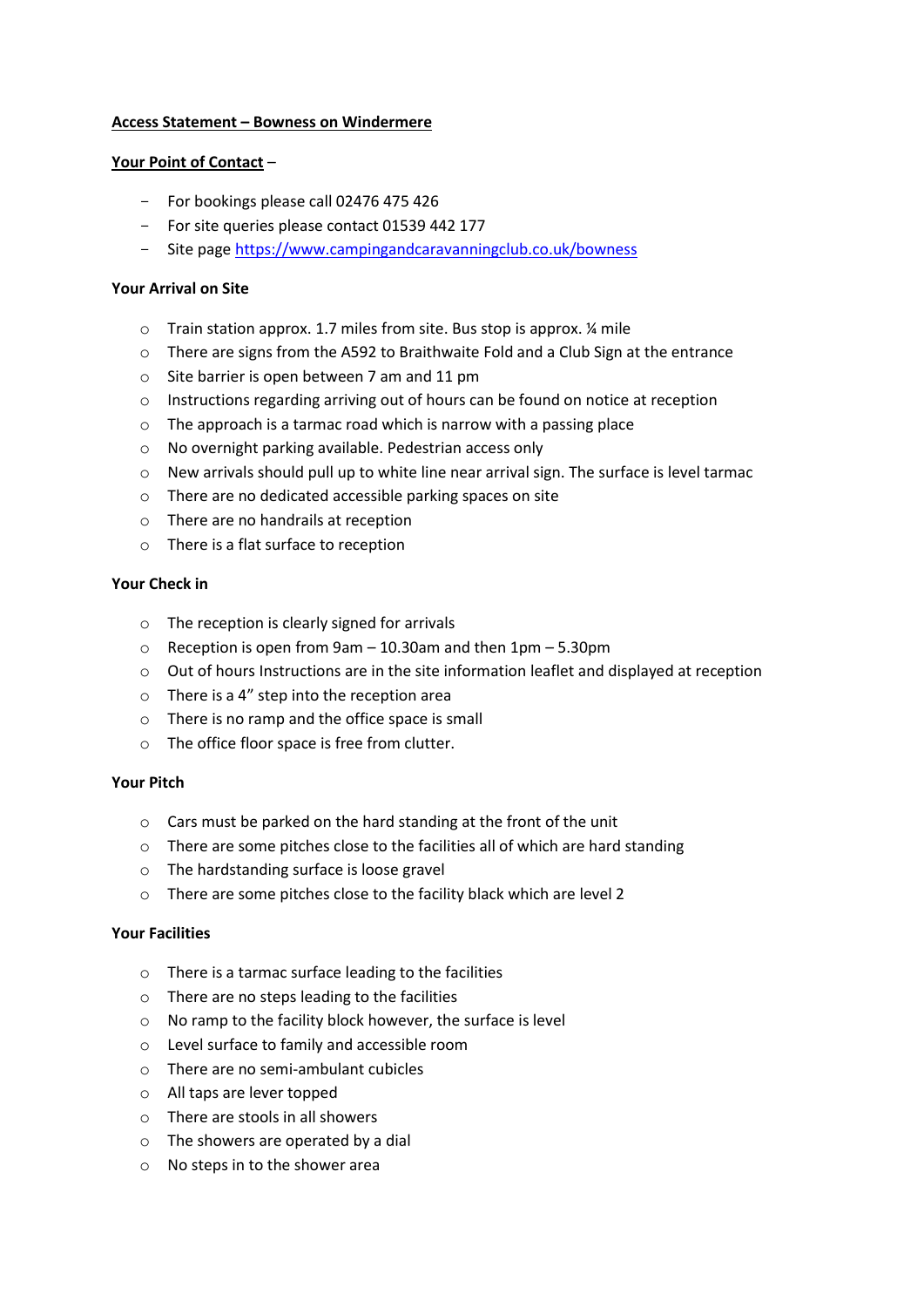# **Access Statement – Bowness on Windermere**

# **Your Point of Contact** –

- For bookings please call 02476 475 426
- For site queries please contact 01539 442 177
- Site pag[e https://www.campingandcaravanningclub.co.uk/bowness](https://www.campingandcaravanningclub.co.uk/bowness)

# **Your Arrival on Site**

- o Train station approx. 1.7 miles from site. Bus stop is approx. ¼ mile
- $\circ$  There are signs from the A592 to Braithwaite Fold and a Club Sign at the entrance
- o Site barrier is open between 7 am and 11 pm
- $\circ$  Instructions regarding arriving out of hours can be found on notice at reception
- o The approach is a tarmac road which is narrow with a passing place
- o No overnight parking available. Pedestrian access only
- $\circ$  New arrivals should pull up to white line near arrival sign. The surface is level tarmac
- o There are no dedicated accessible parking spaces on site
- o There are no handrails at reception
- o There is a flat surface to reception

### **Your Check in**

- o The reception is clearly signed for arrivals
- o Reception is open from 9am 10.30am and then 1pm 5.30pm
- $\circ$  Out of hours Instructions are in the site information leaflet and displayed at reception
- $\circ$  There is a 4" step into the reception area
- o There is no ramp and the office space is small
- o The office floor space is free from clutter.

### **Your Pitch**

- o Cars must be parked on the hard standing at the front of the unit
- $\circ$  There are some pitches close to the facilities all of which are hard standing
- o The hardstanding surface is loose gravel
- o There are some pitches close to the facility black which are level 2

### **Your Facilities**

- o There is a tarmac surface leading to the facilities
- o There are no steps leading to the facilities
- o No ramp to the facility block however, the surface is level
- o Level surface to family and accessible room
- o There are no semi-ambulant cubicles
- o All taps are lever topped
- o There are stools in all showers
- o The showers are operated by a dial
- o No steps in to the shower area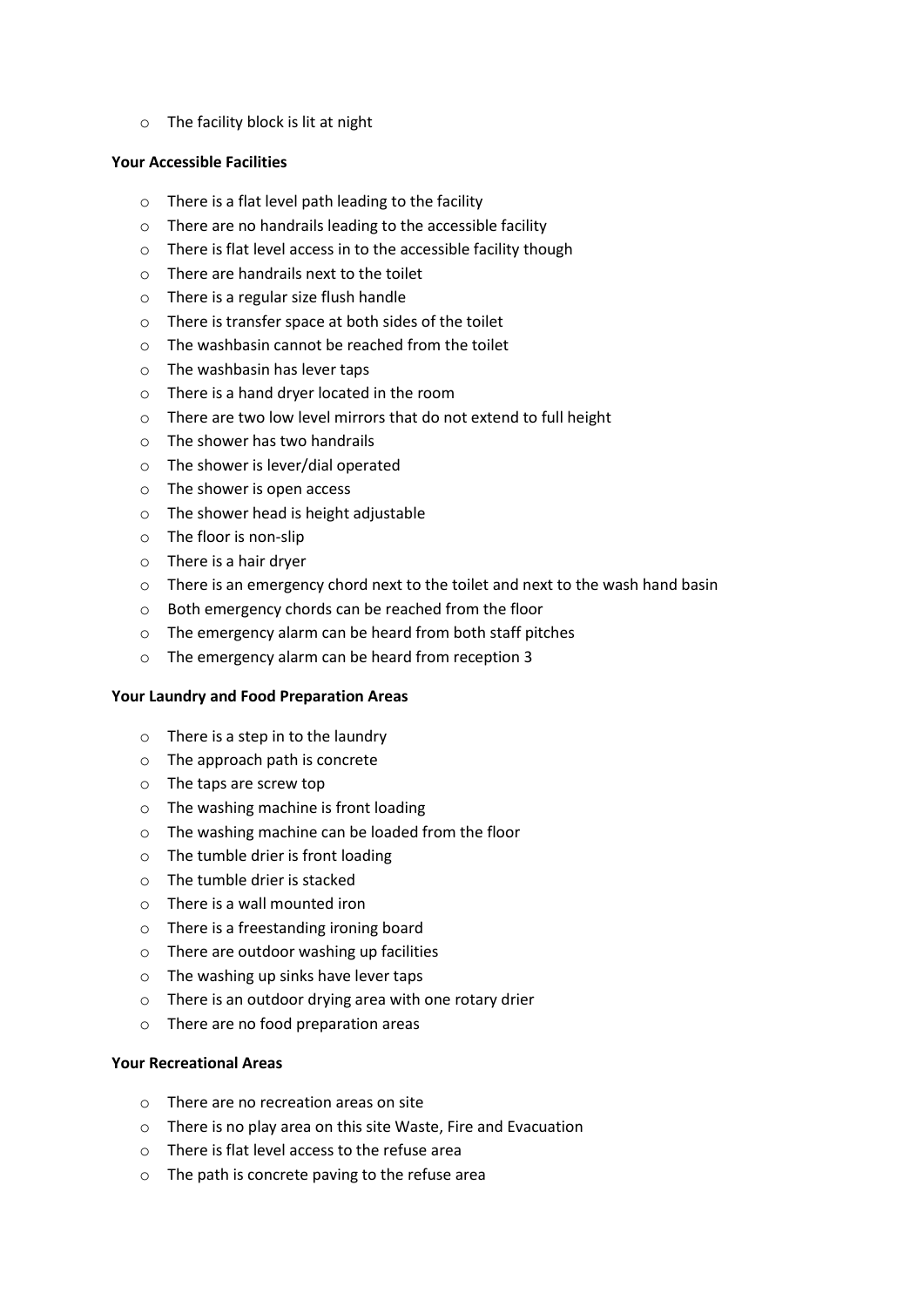o The facility block is lit at night

#### **Your Accessible Facilities**

- o There is a flat level path leading to the facility
- o There are no handrails leading to the accessible facility
- o There is flat level access in to the accessible facility though
- o There are handrails next to the toilet
- o There is a regular size flush handle
- o There is transfer space at both sides of the toilet
- $\circ$  The washbasin cannot be reached from the toilet
- o The washbasin has lever taps
- o There is a hand dryer located in the room
- o There are two low level mirrors that do not extend to full height
- o The shower has two handrails
- o The shower is lever/dial operated
- o The shower is open access
- o The shower head is height adjustable
- o The floor is non-slip
- o There is a hair dryer
- o There is an emergency chord next to the toilet and next to the wash hand basin
- o Both emergency chords can be reached from the floor
- o The emergency alarm can be heard from both staff pitches
- o The emergency alarm can be heard from reception 3

### **Your Laundry and Food Preparation Areas**

- $\circ$  There is a step in to the laundry
- o The approach path is concrete
- o The taps are screw top
- o The washing machine is front loading
- o The washing machine can be loaded from the floor
- o The tumble drier is front loading
- o The tumble drier is stacked
- o There is a wall mounted iron
- o There is a freestanding ironing board
- o There are outdoor washing up facilities
- o The washing up sinks have lever taps
- o There is an outdoor drying area with one rotary drier
- o There are no food preparation areas

### **Your Recreational Areas**

- o There are no recreation areas on site
- o There is no play area on this site Waste, Fire and Evacuation
- $\circ$  There is flat level access to the refuse area
- o The path is concrete paving to the refuse area